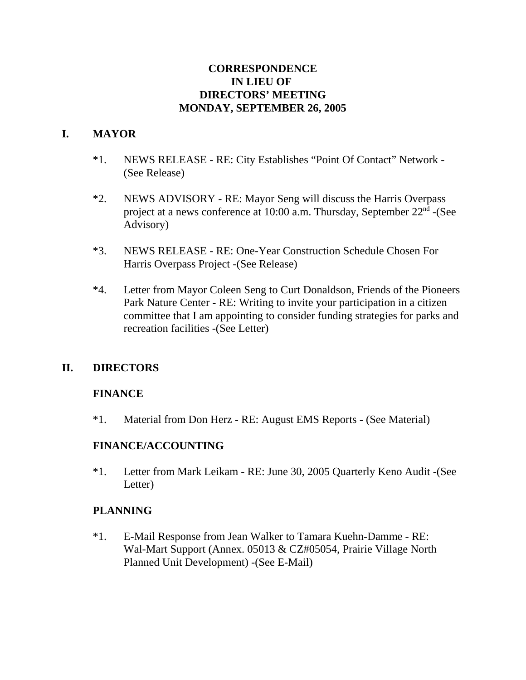## **CORRESPONDENCE IN LIEU OF DIRECTORS' MEETING MONDAY, SEPTEMBER 26, 2005**

## **I. MAYOR**

- \*1. NEWS RELEASE RE: City Establishes "Point Of Contact" Network (See Release)
- \*2. NEWS ADVISORY RE: Mayor Seng will discuss the Harris Overpass project at a news conference at 10:00 a.m. Thursday, September  $22<sup>nd</sup>$  -(See Advisory)
- \*3. NEWS RELEASE RE: One-Year Construction Schedule Chosen For Harris Overpass Project -(See Release)
- \*4. Letter from Mayor Coleen Seng to Curt Donaldson, Friends of the Pioneers Park Nature Center - RE: Writing to invite your participation in a citizen committee that I am appointing to consider funding strategies for parks and recreation facilities -(See Letter)

## **II. DIRECTORS**

## **FINANCE**

\*1. Material from Don Herz - RE: August EMS Reports - (See Material)

## **FINANCE/ACCOUNTING**

\*1. Letter from Mark Leikam - RE: June 30, 2005 Quarterly Keno Audit -(See Letter)

## **PLANNING**

\*1. E-Mail Response from Jean Walker to Tamara Kuehn-Damme - RE: Wal-Mart Support (Annex. 05013 & CZ#05054, Prairie Village North Planned Unit Development) -(See E-Mail)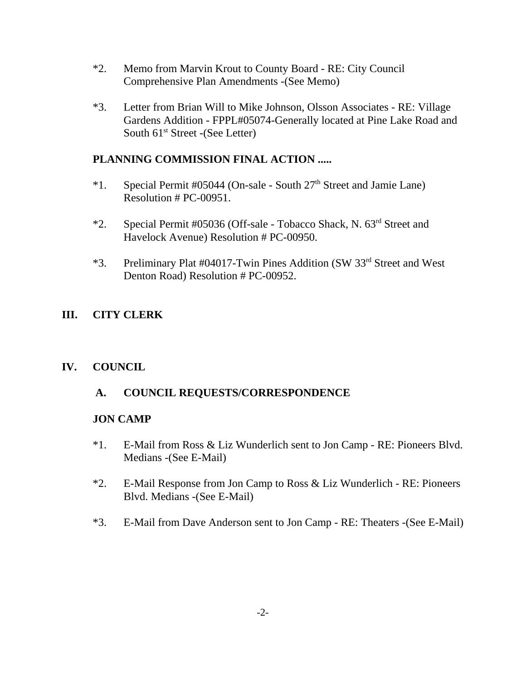- \*2. Memo from Marvin Krout to County Board RE: City Council Comprehensive Plan Amendments -(See Memo)
- \*3. Letter from Brian Will to Mike Johnson, Olsson Associates RE: Village Gardens Addition - FPPL#05074-Generally located at Pine Lake Road and South  $61<sup>st</sup>$  Street -(See Letter)

## **PLANNING COMMISSION FINAL ACTION .....**

- \*1. Special Permit #05044 (On-sale South  $27<sup>th</sup>$  Street and Jamie Lane) Resolution # PC-00951.
- \*2. Special Permit #05036 (Off-sale Tobacco Shack, N. 63rd Street and Havelock Avenue) Resolution # PC-00950.
- \*3. Preliminary Plat #04017-Twin Pines Addition (SW 33rd Street and West Denton Road) Resolution # PC-00952.

## **III. CITY CLERK**

# **IV. COUNCIL**

# **A. COUNCIL REQUESTS/CORRESPONDENCE**

### **JON CAMP**

- \*1. E-Mail from Ross & Liz Wunderlich sent to Jon Camp RE: Pioneers Blvd. Medians -(See E-Mail)
- \*2. E-Mail Response from Jon Camp to Ross & Liz Wunderlich RE: Pioneers Blvd. Medians -(See E-Mail)
- \*3. E-Mail from Dave Anderson sent to Jon Camp RE: Theaters -(See E-Mail)